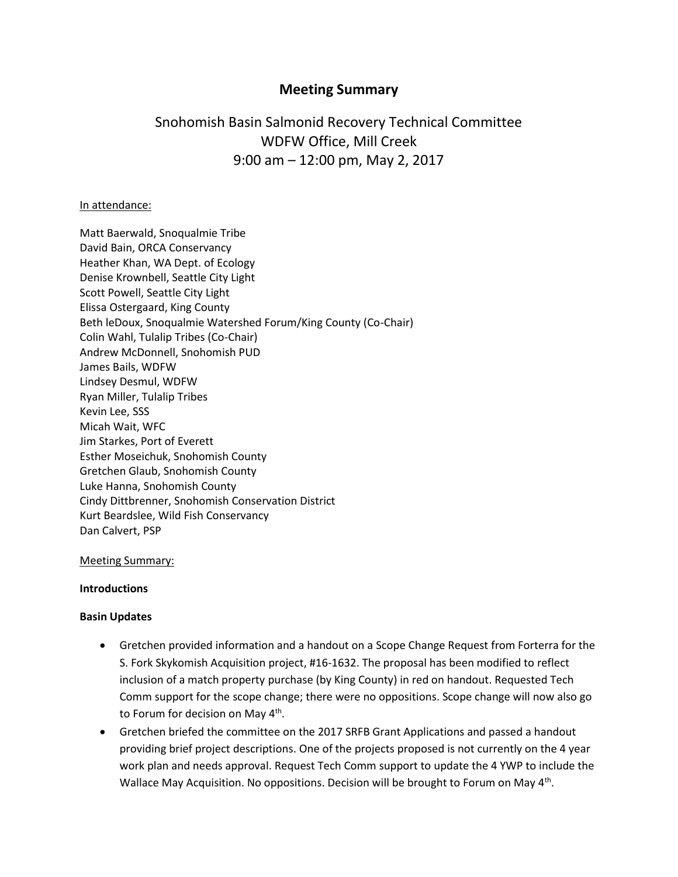## **Meeting Summary**

# Snohomish Basin Salmonid Recovery Technical Committee WDFW Office, Mill Creek 9:00 am – 12:00 pm, May 2, 2017

#### In attendance:

Matt Baerwald, Snoqualmie Tribe David Bain, ORCA Conservancy Heather Khan, WA Dept. of Ecology Denise Krownbell, Seattle City Light Scott Powell, Seattle City Light Elissa Ostergaard, King County Beth leDoux, Snoqualmie Watershed Forum/King County (Co-Chair) Colin Wahl, Tulalip Tribes (Co-Chair) Andrew McDonnell, Snohomish PUD James Bails, WDFW Lindsey Desmul, WDFW Ryan Miller, Tulalip Tribes Kevin Lee, SSS Micah Wait, WFC Jim Starkes, Port of Everett Esther Moseichuk, Snohomish County Gretchen Glaub, Snohomish County Luke Hanna, Snohomish County Cindy Dittbrenner, Snohomish Conservation District Kurt Beardslee, Wild Fish Conservancy Dan Calvert, PSP

#### Meeting Summary:

#### **Introductions**

#### **Basin Updates**

- Gretchen provided information and a handout on a Scope Change Request from Forterra for the S. Fork Skykomish Acquisition project, #16-1632. The proposal has been modified to reflect inclusion of a match property purchase (by King County) in red on handout. Requested Tech Comm support for the scope change; there were no oppositions. Scope change will now also go to Forum for decision on May 4<sup>th</sup>.
- Gretchen briefed the committee on the 2017 SRFB Grant Applications and passed a handout providing brief project descriptions. One of the projects proposed is not currently on the 4 year work plan and needs approval. Request Tech Comm support to update the 4 YWP to include the Wallace May Acquisition. No oppositions. Decision will be brought to Forum on May 4<sup>th</sup>.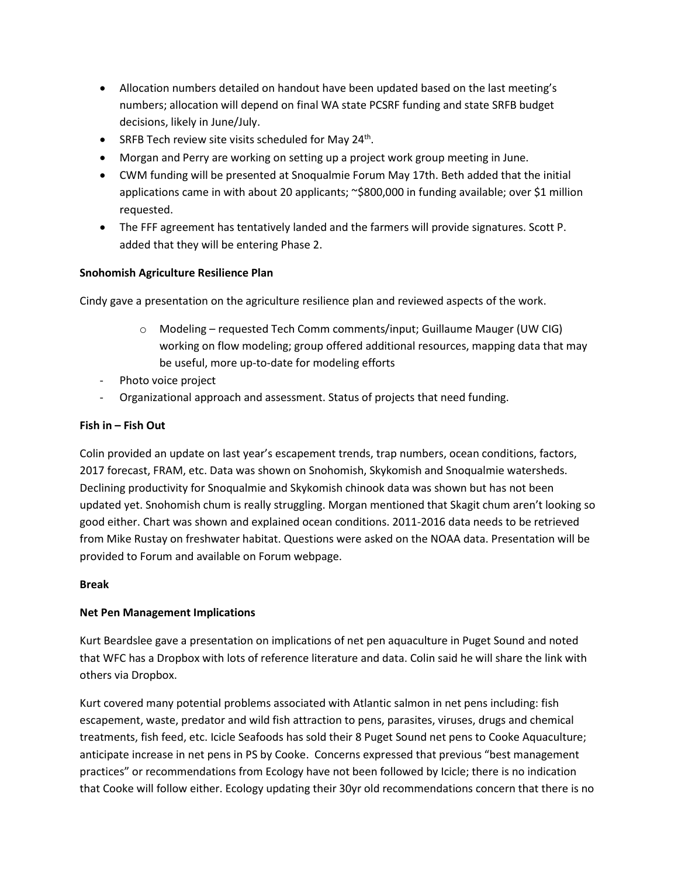- Allocation numbers detailed on handout have been updated based on the last meeting's numbers; allocation will depend on final WA state PCSRF funding and state SRFB budget decisions, likely in June/July.
- SRFB Tech review site visits scheduled for May 24<sup>th</sup>.
- Morgan and Perry are working on setting up a project work group meeting in June.
- CWM funding will be presented at Snoqualmie Forum May 17th. Beth added that the initial applications came in with about 20 applicants; ~\$800,000 in funding available; over \$1 million requested.
- The FFF agreement has tentatively landed and the farmers will provide signatures. Scott P. added that they will be entering Phase 2.

## **Snohomish Agriculture Resilience Plan**

Cindy gave a presentation on the agriculture resilience plan and reviewed aspects of the work.

- o Modeling requested Tech Comm comments/input; Guillaume Mauger (UW CIG) working on flow modeling; group offered additional resources, mapping data that may be useful, more up-to-date for modeling efforts
- Photo voice project
- Organizational approach and assessment. Status of projects that need funding.

## **Fish in – Fish Out**

Colin provided an update on last year's escapement trends, trap numbers, ocean conditions, factors, 2017 forecast, FRAM, etc. Data was shown on Snohomish, Skykomish and Snoqualmie watersheds. Declining productivity for Snoqualmie and Skykomish chinook data was shown but has not been updated yet. Snohomish chum is really struggling. Morgan mentioned that Skagit chum aren't looking so good either. Chart was shown and explained ocean conditions. 2011-2016 data needs to be retrieved from Mike Rustay on freshwater habitat. Questions were asked on the NOAA data. Presentation will be provided to Forum and available on Forum webpage.

#### **Break**

## **Net Pen Management Implications**

Kurt Beardslee gave a presentation on implications of net pen aquaculture in Puget Sound and noted that WFC has a Dropbox with lots of reference literature and data. Colin said he will share the link with others via Dropbox.

Kurt covered many potential problems associated with Atlantic salmon in net pens including: fish escapement, waste, predator and wild fish attraction to pens, parasites, viruses, drugs and chemical treatments, fish feed, etc. Icicle Seafoods has sold their 8 Puget Sound net pens to Cooke Aquaculture; anticipate increase in net pens in PS by Cooke. Concerns expressed that previous "best management practices" or recommendations from Ecology have not been followed by Icicle; there is no indication that Cooke will follow either. Ecology updating their 30yr old recommendations concern that there is no